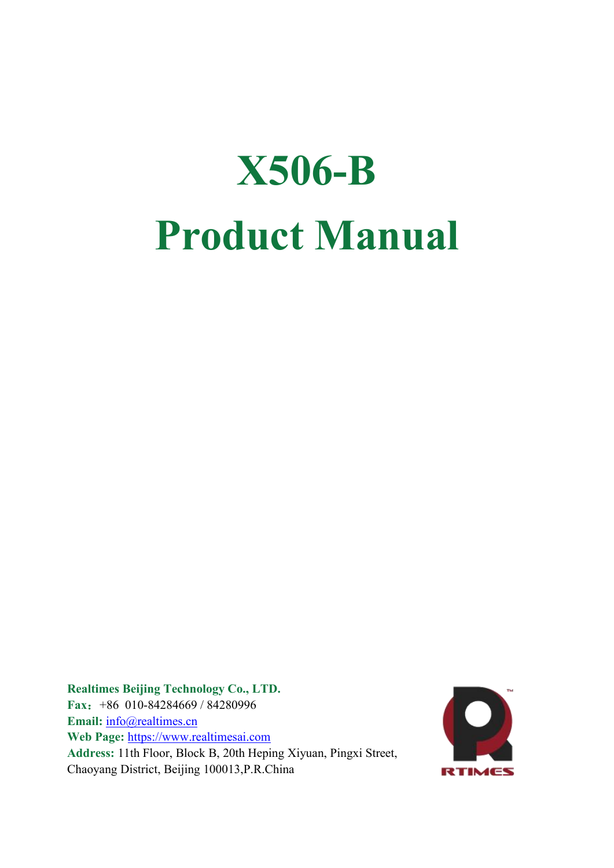# **X506-B Product Manual**

**Realtimes Beijing Technology Co., LTD. Fax**:+86 010-84284669 / 84280996 Email: [info@realtimes.cn](mailto:info@realtimes.cn) **Web Page:** <https://www.realtimesai.com> **Address:** 11th Floor, Block B, 20th Heping Xiyuan, Pingxi Street, Chaoyang District, Beijing 100013,P.R.China

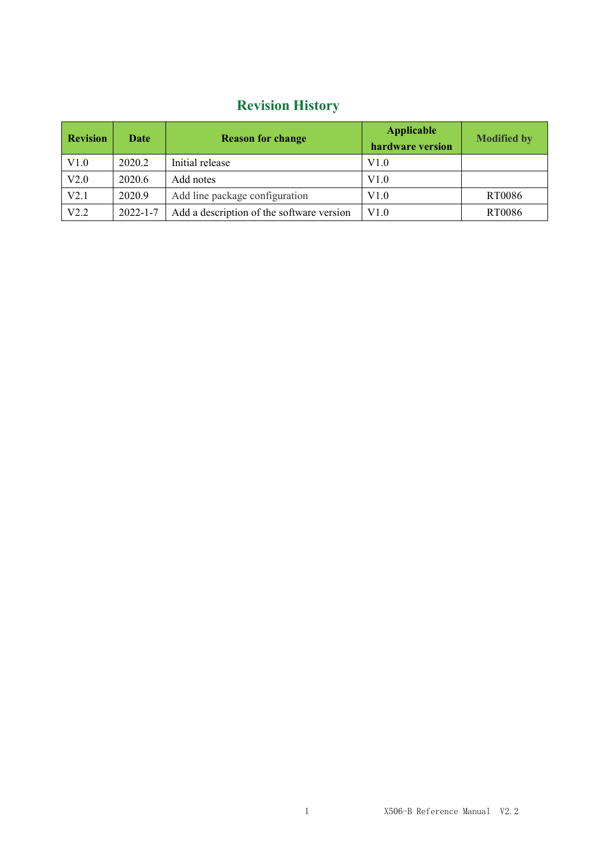## **Revision History**

| <b>Revision</b> | Date           | <b>Reason for change</b>                  | <b>Applicable</b><br>hardware version | <b>Modified by</b> |
|-----------------|----------------|-------------------------------------------|---------------------------------------|--------------------|
| V1.0            | 2020.2         | Initial release                           | V1.0                                  |                    |
| V2.0            | 2020.6         | Add notes                                 | V1.0                                  |                    |
| V2.1            | 2020.9         | Add line package configuration            | V1.0                                  | RT0086             |
| V2.2            | $2022 - 1 - 7$ | Add a description of the software version | V1.0                                  | RT0086             |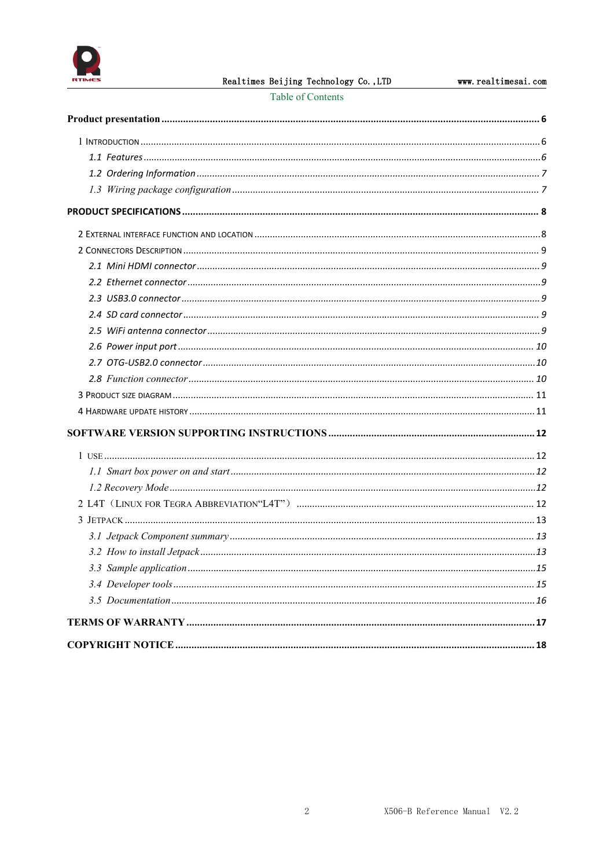

Table of Contents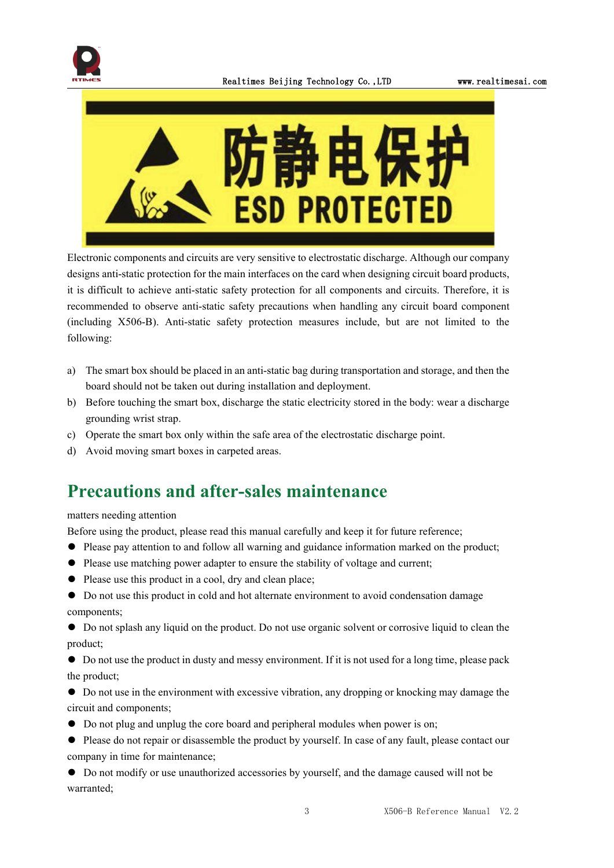



Electronic components and circuits are very sensitive to electrostatic discharge. Although our company designs anti-static protection for the main interfaces on the card when designing circuit board products, it is difficult to achieve anti-static safety protection for all components and circuits. Therefore, it is recommended to observe anti-static safety precautions when handling any circuit board component (including X506-B). Anti-static safety protection measures include, but are not limited to the following:

- a) The smart box should be placed in an anti-static bag during transportation and storage, and then the board should not be taken out during installation and deployment.
- b) Before touching the smart box, discharge the static electricity stored in the body: wear a discharge grounding wrist strap.
- c) Operate the smart box only within the safe area of the electrostatic discharge point.
- d) Avoid moving smart boxes in carpeted areas.

## **Precautions and after-sales maintenance**

#### matters needing attention

Before using the product, please read this manual carefully and keep it for future reference;

- ⚫ Please pay attention to and follow all warning and guidance information marked on the product;
- ⚫ Please use matching power adapter to ensure the stability of voltage and current;
- ⚫ Please use this product in a cool, dry and clean place;
- ⚫ Do not use this product in cold and hot alternate environment to avoid condensation damage components;
- ⚫ Do not splash any liquid on the product. Do not use organic solventor corrosive liquid to clean the product;
- ⚫ Do not use the product in dusty and messy environment. If it is not used for a long time, please pack the product;
- ⚫ Do not use in the environment with excessive vibration, any dropping or knocking may damage the circuit and components;
- ⚫ Do not plug and unplug the core board and peripheral modules when power is on;
- $\bullet$  Please do not repair or disassemble the product by yourself. In case of any fault, please contact our company in time for maintenance;
- ⚫ Do not modify or use unauthorized accessories by yourself, and the damage caused will not be warranted;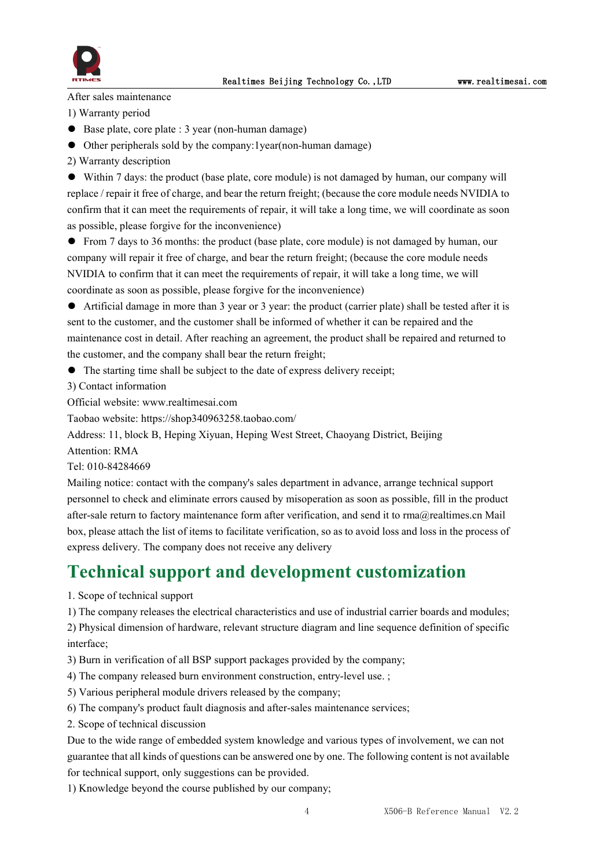



After sales maintenance

1) Warranty period

- ⚫ Base plate, core plate : 3 year (non-human damage)
- ⚫ Other peripherals sold by the company:1year(non-human damage)
- 2) Warranty description

⚫ Within 7 days: the product (base plate, core module) is not damaged by human, our company will replace / repair it free of charge, and bear the return freight; (because the core module needs NVIDIA to confirm that it can meet the requirements of repair, it will take a long time, we will coordinate as soon as possible, please forgive for the inconvenience)

⚫ From 7 daysto 36 months: the product (base plate, core module) is not damaged by human, our company will repair it free of charge, and bear the return freight; (because the core module needs NVIDIA to confirm that it can meet the requirements of repair, it will take a long time, we will coordinate as soon as possible, please forgive for the inconvenience)

⚫ Artificial damage in more than 3 year or 3 year: the product (carrier plate) shall be tested after it is sent to the customer, and the customer shall be informed of whether it can be repaired and the maintenance cost in detail. After reaching an agreement, the product shall be repaired and returned to the customer, and the company shall bear the return freight;

 $\bullet$  The starting time shall be subject to the date of express delivery receipt;

3) Contact information

Official website: www.realtimesai.com

Taobao website: https://shop340963258.taobao.com/

Address: 11, block B, Heping Xiyuan, Heping West Street, Chaoyang District, Beijing

Attention: RMA

Tel: 010-84284669

Mailing notice: contact with the company's sales department in advance, arrange technical support personnel to check and eliminate errors caused by misoperation as soon as possible, fill in the product after-sale return to factory maintenance form after verification, and send it to rma@realtimes.cn Mail box, please attach the list of items to facilitate verification, so as to avoid loss and loss in the process of express delivery. The company does not receive any delivery

## **Technical support and development customization**

1. Scope of technical support

1) The company releases the electrical characteristics and use of industrial carrier boards and modules;

2) Physical dimension of hardware, relevant structure diagram and line sequence definition of specific interface;

- 3) Burn in verification of all BSP support packages provided by the company;
- 4) The company released burn environment construction, entry-level use. ;
- 5) Various peripheral module drivers released by the company;
- 6) The company's product fault diagnosis and after-sales maintenance services;
- 2. Scope of technical discussion

Due to the wide range of embedded system knowledge and various types ofinvolvement, we can not guarantee that all kinds of questions can be answered one by one.The following content is not available for technical support, only suggestions can be provided.

1) Knowledge beyond the course published by our company;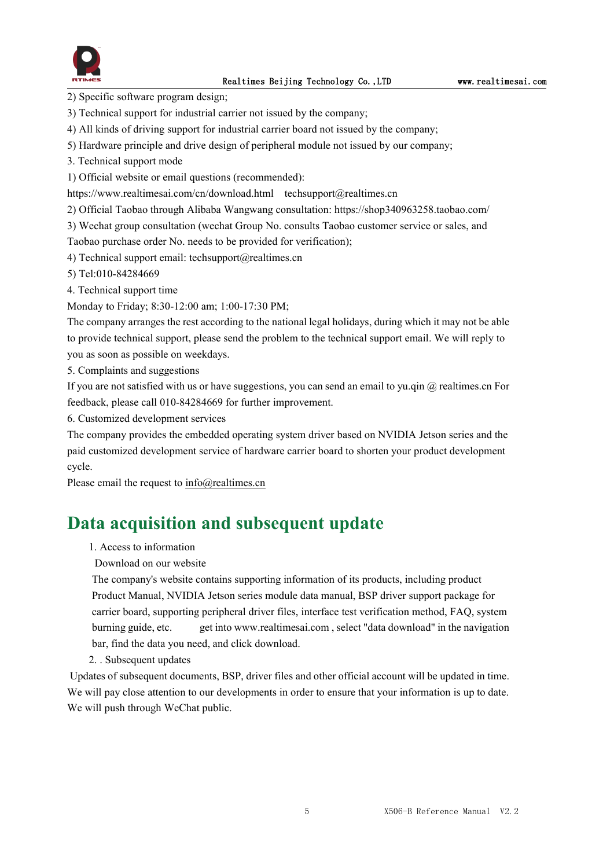

2) Specific software program design;

- 3) Technical support for industrial carrier not issued by the company;
- 4) All kinds of driving support for industrial carrier board not issued by the company;
- 5) Hardware principle and drive design of peripheral module not issued by our company;
- 3. Technical support mode
- 1) Official website or email questions (recommended):

https://www.realtimesai.com/cn/download.html techsupport@realtimes.cn

2) Official Taobao through Alibaba Wangwang consultation: https://shop340963258.taobao.com/

3) Wechat group consultation (wechat Group No. consults Taobao customer service or sales, and

Taobao purchase order No. needs to be provided for verification);

4) Technical support email: techsupport@realtimes.cn

5) Tel:010-84284669

4. Technical support time

Monday to Friday; 8:30-12:00 am; 1:00-17:30 PM;

The company arranges the rest according to the national legal holidays, during which it may not be able to provide technical support, please send the problem to the technical support email. We will reply to you as soon as possible on weekdays.

5. Complaints and suggestions

If you are not satisfied with us or have suggestions, you can send an email to yu.qin  $\omega$  realtimes.cn For feedback, please call 010-84284669 for further improvement.

6. Customized development services

The company provides the embedded operating system driver based on NVIDIA Jetson series and the paid customized development service of hardware carrier board to shorten your product development cycle.

Please email the request to [info@realtimes.cn](mailto:info@realtimes.cn)

## **Data acquisition and subsequent update**

1. Access to information

Download on our website

The company's website contains supporting information of its products, including product Product Manual, NVIDIA Jetson series module data manual, BSP driver support package for carrier board, supporting peripheral driver files, interface test verification method, FAQ, system burning guide, etc. get into www.realtimesai.com , select "data download" in the navigation bar, find the data you need, and click download.

2. . Subsequent updates

Updates of subsequent documents, BSP, driver files and other official account will be updated in time. We will pay close attention to our developments in order to ensure that your information is up to date. We will push through WeChat public.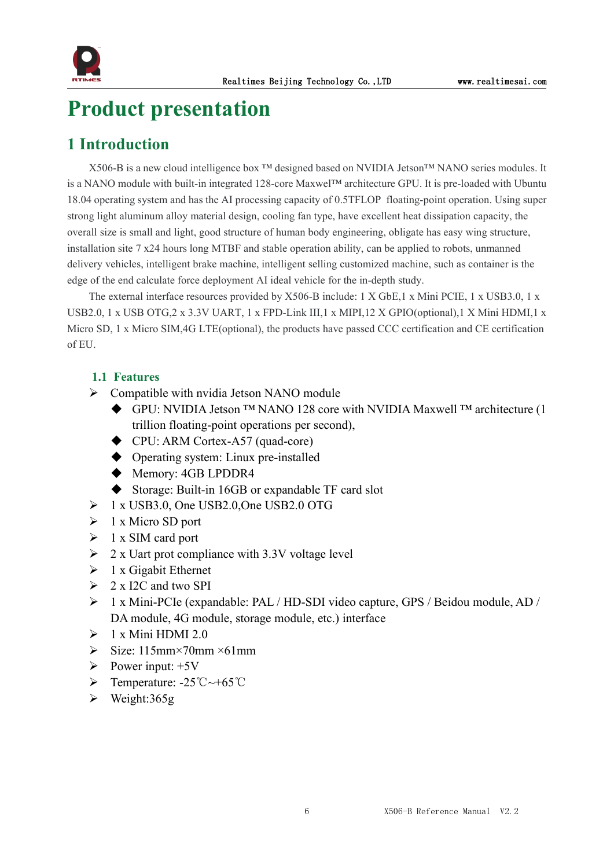

## <span id="page-6-0"></span>**Product presentation**

## <span id="page-6-1"></span>**1 Introduction**

X506-B is a new cloud intelligence box ™ designed based on NVIDIA Jetson™ NANO series modules. It is a NANO module with built-in integrated 128-core Maxwel™ architecture GPU. It is pre-loaded with Ubuntu 18.04 operating system and has the AI processing capacity of 0.5TFLOP floating-point operation. Using super strong light aluminum alloy material design, cooling fan type, have excellent heat dissipation capacity, the overall size is small and light, good structure of human body engineering, obligate has easy wing structure, installation site 7 x24 hours long MTBF and stable operation ability, can be applied to robots, unmanned delivery vehicles, intelligent brake machine, intelligent selling customized machine, such as container is the edge of the end calculate force deployment AI ideal vehicle for the in-depth study.

The external interface resources provided by X506-B include: 1 X GbE,1 x Mini PCIE, 1 x USB3.0, 1 x USB2.0, 1 x USB OTG,2 x 3.3V UART, 1 x FPD-Link III,1 x MIPI,12 X GPIO(optional),1 X Mini HDMI,1 x Micro SD, 1 x Micro SIM,4G LTE(optional), the products have passed CCC certification and CE certification of EU.

## <span id="page-6-2"></span>**1.1 Features**

- $\triangleright$  Compatible with nvidia Jetson NANO module
	- ◆ GPU: NVIDIA Jetson ™ NANO 128 core with NVIDIA Maxwell ™ architecture (1 trillion floating-point operations per second),
	- ◆ CPU: ARM Cortex-A57 (quad-core)
	- ◆ Operating system: Linux pre-installed
	- ◆ Memory: 4GB LPDDR4
	- ◆ Storage: Built-in 16GB or expandable TF card slot
- 1 x USB3.0, One USB2.0,One USB2.0 OTG
- $\triangleright$  1 x Micro SD port
- $\geq 1$  x SIM card port
- $\geq 2$  x Uart prot compliance with 3.3V voltage level
- $\geq 1$  x Gigabit Ethernet
- $\geq 2 \times 12C$  and two SPI
- 1 x Mini-PCIe(expandable: PAL / HD-SDI video capture, GPS / Beidou module, AD / DA module, 4G module, storage module, etc.) interface
- $\geq 1$  x Mini HDMI 2.0
- $\triangleright$  Size: 115mm×70mm ×61mm
- $\triangleright$  Power input: +5V
- Temperature: -25℃~+65℃
- $\triangleright$  Weight:365g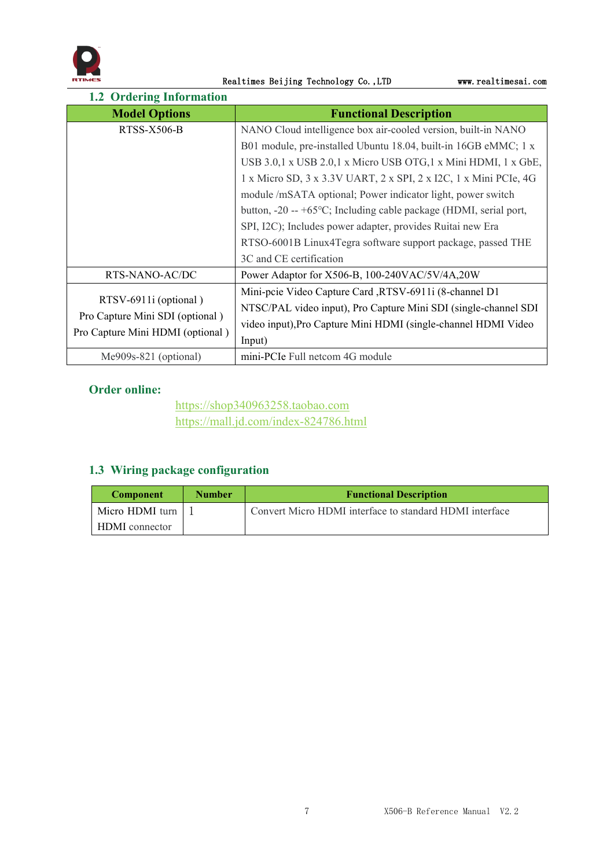

Realtimes Beijing Technology Co., LTD www.realtimesai.com

<span id="page-7-0"></span>

| 1.2 Ordering Information                                            |                                                                     |  |  |  |
|---------------------------------------------------------------------|---------------------------------------------------------------------|--|--|--|
| <b>Model Options</b>                                                | <b>Functional Description</b>                                       |  |  |  |
| RTSS-X506-B                                                         | NANO Cloud intelligence box air-cooled version, built-in NANO       |  |  |  |
|                                                                     | B01 module, pre-installed Ubuntu 18.04, built-in 16GB eMMC; 1 x     |  |  |  |
|                                                                     | USB 3.0,1 x USB 2.0,1 x Micro USB OTG,1 x Mini HDMI, 1 x GbE,       |  |  |  |
|                                                                     | 1 x Micro SD, 3 x 3.3V UART, 2 x SPI, 2 x I2C, 1 x Mini PCIe, 4G    |  |  |  |
|                                                                     | module /mSATA optional; Power indicator light, power switch         |  |  |  |
|                                                                     | button, $-20 - +65$ °C; Including cable package (HDMI, serial port, |  |  |  |
|                                                                     | SPI, I2C); Includes power adapter, provides Ruitai new Era          |  |  |  |
|                                                                     | RTSO-6001B Linux4Tegra software support package, passed THE         |  |  |  |
|                                                                     | 3C and CE certification                                             |  |  |  |
| RTS-NANO-AC/DC                                                      | Power Adaptor for X506-B, 100-240VAC/5V/4A,20W                      |  |  |  |
|                                                                     | Mini-pcie Video Capture Card , RTSV-6911i (8-channel D1             |  |  |  |
| RTSV-6911i (optional)                                               | NTSC/PAL video input), Pro Capture Mini SDI (single-channel SDI)    |  |  |  |
| Pro Capture Mini SDI (optional)<br>Pro Capture Mini HDMI (optional) | video input), Pro Capture Mini HDMI (single-channel HDMI Video      |  |  |  |
|                                                                     | Input)                                                              |  |  |  |
| Me909s-821 (optional)                                               | mini-PCIe Full netcom 4G module                                     |  |  |  |

## **Order online:**

<https://shop340963258.taobao.com> <https://mall.jd.com/index-824786.html>

## <span id="page-7-1"></span>**1.3 Wiring package configuration**

| <b>Component</b>      | <b>Number</b> | <b>Functional Description</b>                           |
|-----------------------|---------------|---------------------------------------------------------|
| Micro HDMI turn       |               | Convert Micro HDMI interface to standard HDMI interface |
| <b>HDMI</b> connector |               |                                                         |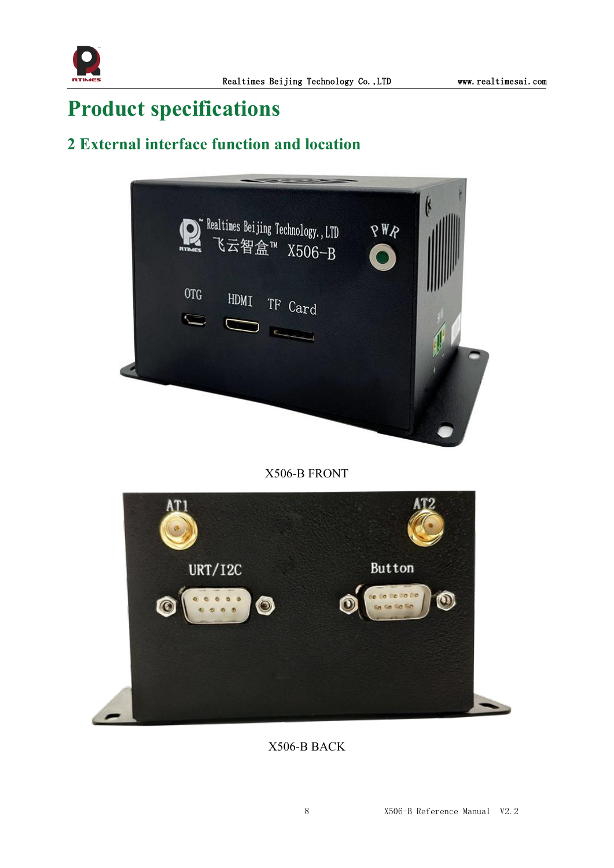

# <span id="page-8-0"></span>**Product specifications**

## <span id="page-8-1"></span>**2 External interface function and location**



X506-B FRONT



X506-B BACK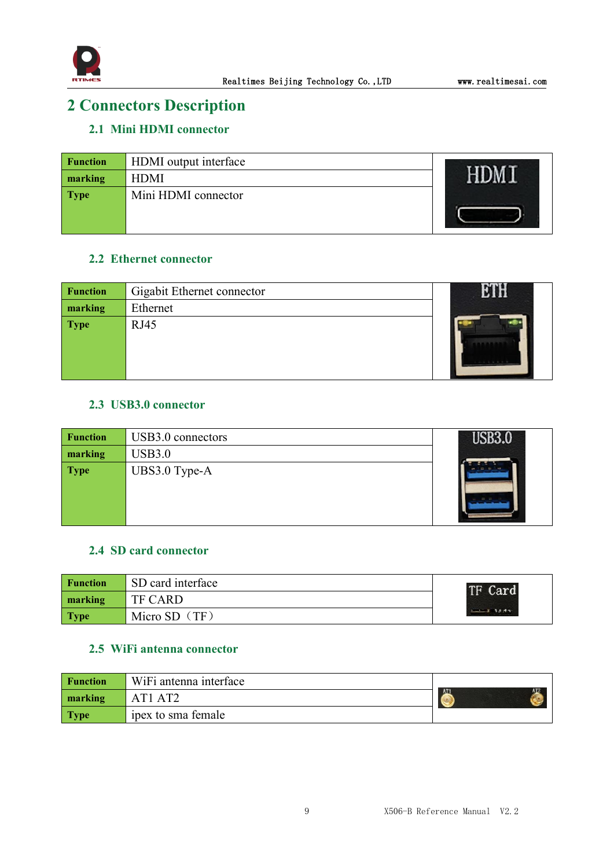

## <span id="page-9-0"></span>**2 Connectors Description**

## <span id="page-9-1"></span>**2.1 Mini HDMI connector**

| <b>Function</b> | HDMI output interface |  |
|-----------------|-----------------------|--|
| marking         | <b>HDMI</b>           |  |
| <b>Type</b>     | Mini HDMI connector   |  |
|                 |                       |  |

## <span id="page-9-2"></span>**2.2 Ethernet connector**

| <b>Function</b> | Gigabit Ethernet connector |  |  |
|-----------------|----------------------------|--|--|
| marking         | Ethernet                   |  |  |
| <b>Type</b>     | <b>RJ45</b>                |  |  |

## <span id="page-9-3"></span>**2.3 USB3.0 connector**

| <b>Function</b> | USB3.0 connectors |  |
|-----------------|-------------------|--|
| marking         | <b>USB3.0</b>     |  |
| <b>Type</b>     | UBS3.0 Type-A     |  |

## <span id="page-9-4"></span>**2.4 SD card connector**

| <b>Function</b> | SD card interface | TF Card           |
|-----------------|-------------------|-------------------|
| marking         | TF CARD           |                   |
| <b>Type</b>     | Micro SD $(TF)$   | <b>CONTRACTOR</b> |

## <span id="page-9-5"></span>**2.5 WiFi antenna connector**

| <b>Function</b> | WiFi antenna interface          | AT <sub>2</sub><br>AT1 |
|-----------------|---------------------------------|------------------------|
| marking         | AT <sub>1</sub> AT <sub>2</sub> |                        |
| <b>Type</b>     | ipex to sma female              |                        |



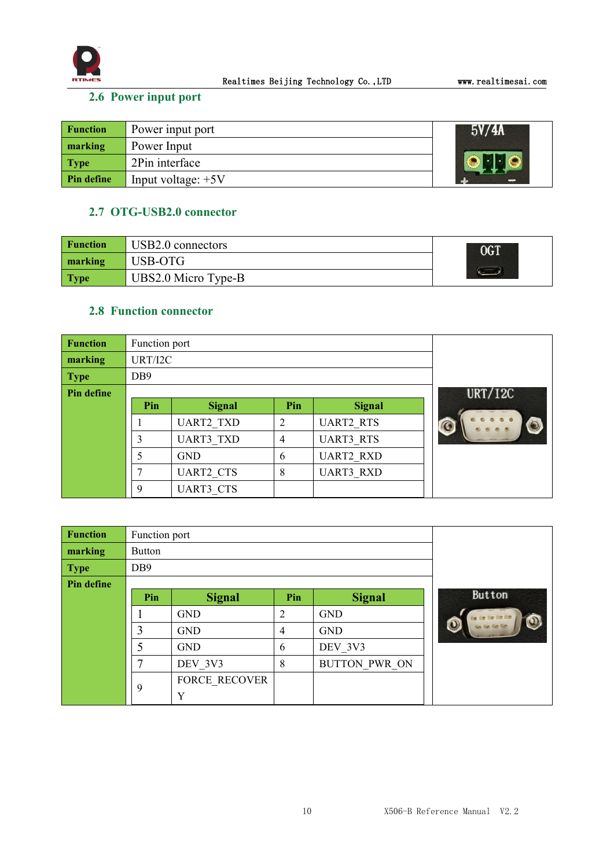

## <span id="page-10-0"></span>**2.6 Power input port**

| <b>Function</b> | Power input port     | 5V/4A |
|-----------------|----------------------|-------|
| marking         | Power Input          |       |
| <b>Type</b>     | 2Pin interface       |       |
| Pin define      | Input voltage: $+5V$ |       |

## <span id="page-10-1"></span>**2.7 OTG-USB2.0 connector**

| <b>Function</b> | USB2.0 connectors   | <b>OGT</b> |
|-----------------|---------------------|------------|
| marking         | USB-OTG             |            |
| <b>Type</b>     | UBS2.0 Micro Type-B |            |

## <span id="page-10-2"></span>**2.8 Function connector**

| <b>Function</b> | Function port   |                  |                |                  |                |
|-----------------|-----------------|------------------|----------------|------------------|----------------|
| marking         | URT/I2C         |                  |                |                  |                |
| <b>Type</b>     | DB <sub>9</sub> |                  |                |                  |                |
| Pin define      |                 |                  |                |                  | <b>URT/I2C</b> |
|                 | Pin             | <b>Signal</b>    | Pin            | <b>Signal</b>    |                |
|                 |                 | <b>UART2 TXD</b> | 2              | <b>UART2 RTS</b> |                |
|                 | 3               | <b>UART3 TXD</b> | $\overline{4}$ | <b>UART3 RTS</b> |                |
|                 | 5               | <b>GND</b>       | 6              | <b>UART2 RXD</b> |                |
|                 | ⇁               | <b>UART2 CTS</b> | 8              | <b>UART3 RXD</b> |                |
|                 | 9               | <b>UART3 CTS</b> |                |                  |                |

| <b>Function</b> | Function port   |                      |                |                      |             |
|-----------------|-----------------|----------------------|----------------|----------------------|-------------|
| marking         | <b>Button</b>   |                      |                |                      |             |
| <b>Type</b>     | DB <sub>9</sub> |                      |                |                      |             |
| Pin define      |                 |                      |                |                      |             |
|                 | Pin             | <b>Signal</b>        | Pin            | <b>Signal</b>        | Button      |
|                 |                 | <b>GND</b>           | 2              | <b>GND</b>           | die die die |
|                 | 3               | <b>GND</b>           | $\overline{4}$ | <b>GND</b>           | on de de de |
|                 |                 | <b>GND</b>           | 6              | DEV 3V3              |             |
|                 |                 | DEV 3V3              | 8              | <b>BUTTON PWR ON</b> |             |
|                 |                 | <b>FORCE RECOVER</b> |                |                      |             |
|                 | 9               | Y                    |                |                      |             |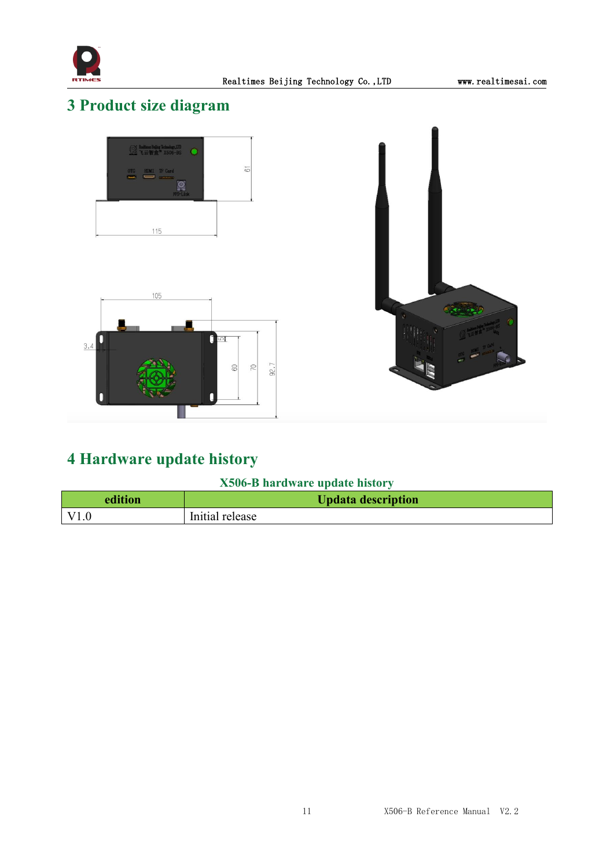

## <span id="page-11-0"></span>**3 Product size diagram**



## <span id="page-11-1"></span>**4 Hardware update history**

## **X506-B hardware update history**

| edition     | Updata description |
|-------------|--------------------|
| $\mid$ V1.0 | Initial release    |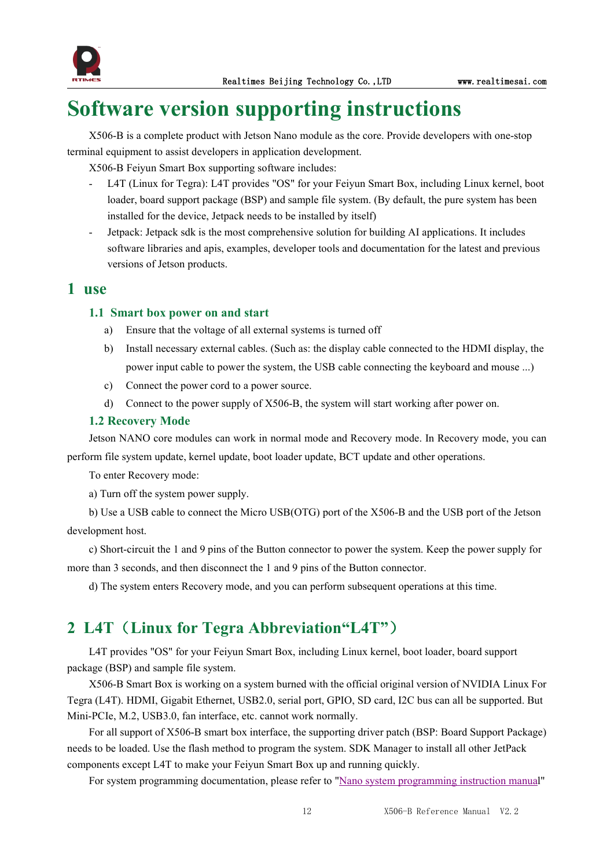

# <span id="page-12-0"></span>**Software version supporting instructions**

X506-B is a complete product with Jetson Nano module as the core. Provide developers with one-stop terminal equipment to assist developers in application development.

X506-B Feiyun Smart Box supporting software includes:

- L4T (Linux for Tegra): L4T provides "OS" for your Feiyun Smart Box, including Linux kernel, boot loader, board support package (BSP) and sample file system. (By default, the pure system has been installed for the device, Jetpack needs to be installed by itself)
- Jetpack: Jetpack sdk is the most comprehensive solution for building AI applications. It includes software libraries and apis, examples, developer tools and documentation for the latest and previous versions of Jetson products.

## <span id="page-12-1"></span>**1 use**

#### <span id="page-12-2"></span>1.1 **Smart box power on and start**

- a) Ensure that the voltage of all external systems is turned off
- b) Install necessary external cables. (Such as: the display cable connected to the HDMI display, the power input cable to power the system, the USB cable connecting the keyboard and mouse ...)
- c) Connect the power cord to a power source.
- d) Connect to the power supply of X506-B, the system will start working after power on.

#### <span id="page-12-3"></span>**1.2 Recovery Mode**

Jetson NANO core modules can work in normalmode and Recovery mode. In Recovery mode, you can perform file system update, kernel update, boot loader update, BCT update and other operations.

To enter Recovery mode:

a) Turn off the system power supply.

b) Use a USB cable to connect the Micro USB(OTG) port of the X506-B and the USB port of the Jetson development host.

c) Short-circuit the 1 and 9 pins of the Button connector to power the system. Keep the power supply for more than 3 seconds, and then disconnect the 1 and 9 pins of the Button connector.

d) The system enters Recovery mode, and you can perform subsequent operations at this time.

## <span id="page-12-4"></span>**2 L4T**(**Linux for Tegra Abbreviation"L4T"**)

L4T provides "OS" foryour Feiyun Smart Box, including Linux kernel, boot loader, board support package (BSP) and sample file system.

X506-B Smart Box is working on a system burned with the official original version of NVIDIA Linux For Tegra (L4T). HDMI, Gigabit Ethernet, USB2.0, serial port, GPIO, SD card, I2C bus can all be supported. But Mini-PCIe, M.2, USB3.0, fan interface, etc. cannot work normally.

For all support of X506-B smart box interface, the supporting driver patch (BSP: Board Support Package) needs to be loaded. Use the flash method to program the system. SDK Manager to install all other JetPack components except L4T to make your Feiyun Smart Box up and running quickly.

For system [programming](http://yun.realtimes.cn/) documentation, please refer to "Nano system programming instruction manual"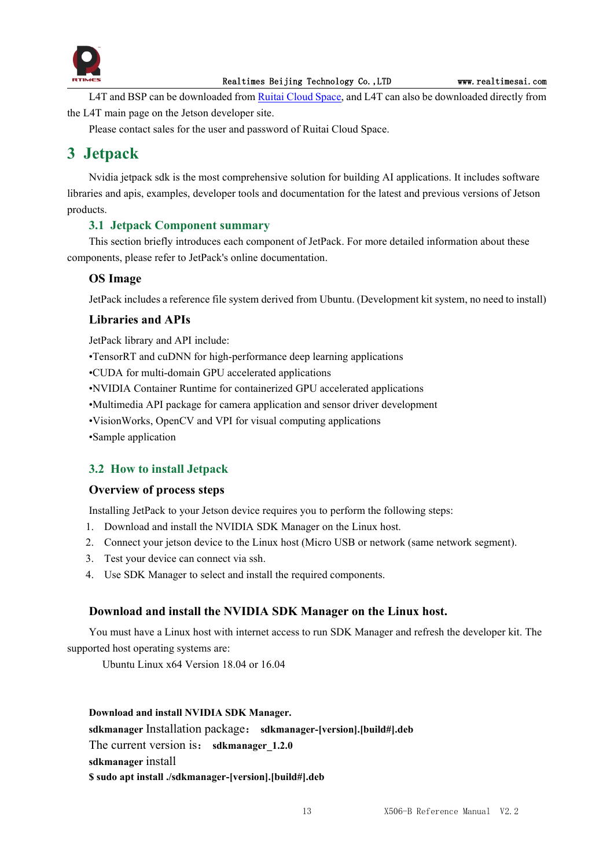

L4T and BSP can be downloaded from Ruitai [Cloud](yun.realtimes.cn) Space, and L4T can also be downloaded directly from the L4T main page on the Jetson developer site.

Please contact sales for the user and password of Ruitai Cloud Space.

## <span id="page-13-0"></span>**3 Jetpack**

Nvidia jetpack sdk is the most comprehensive solution for building AI applications. It includes software libraries and apis, examples, developer tools and documentation for the latest and previous versions of Jetson products.

## <span id="page-13-1"></span>**3.1 Jetpack Component summary**

This section briefly introduces each component of JetPack. For more detailed information about these components, please refer to JetPack's online documentation.

## **OS Image**

JetPack includes a reference file system derived from Ubuntu. (Development kit system, no need to install)

## **Libraries and APIs**

JetPack library and API include:

•TensorRT and cuDNN for high-performance deep learning applications

•CUDA for multi-domain GPU accelerated applications

•NVIDIA Container Runtime for containerized GPU accelerated applications

•Multimedia API package for camera application and sensor driver development

•VisionWorks, OpenCV and VPI for visual computing applications

•Sample application

## <span id="page-13-2"></span>**3.2 How to install Jetpack**

## **Overview of process steps**

Installing JetPack to your Jetson device requires you to perform the following steps:

- 1. Download and install the NVIDIA SDK Manager on the Linux host.
- 2. Connect your jetson device to the Linux host (Micro USB or network (same network segment).
- 3. Test your device can connect via ssh.
- 4. Use SDK Manager to select and install the required components.

## **Download and install the NVIDIA SDK Manager on the Linux host.**

You must have a Linux host with internet access to run SDK Manager and refresh the developer kit.The supported host operating systems are:

Ubuntu Linux x64 Version 18.04 or 16.04

#### **Download and install NVIDIA SDK Manager.**

**sdkmanager** Installation package: **sdkmanager-[version].[build#].deb** The current version is: sdkmanager 1.2.0 **sdkmanager** install

**\$ sudo apt install ./sdkmanager-[version].[build#].deb**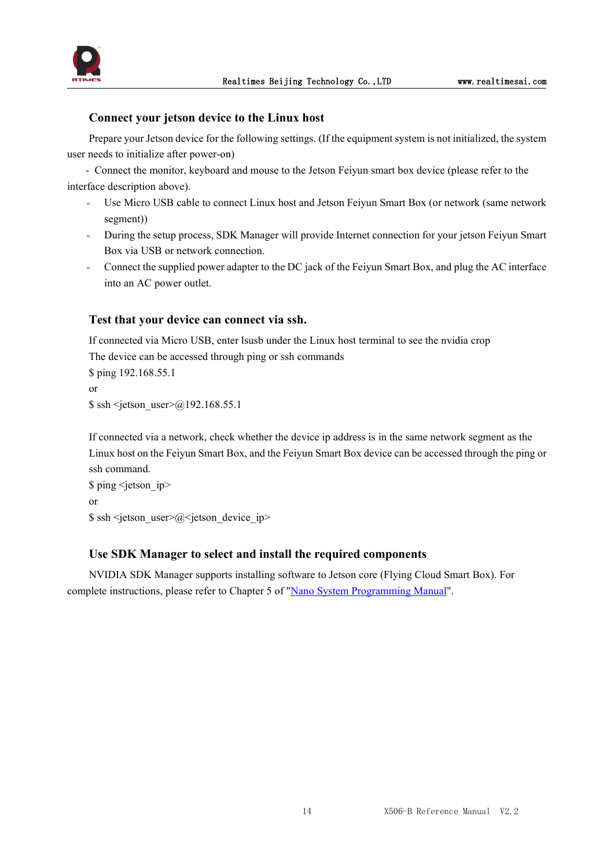



#### **Connect your jetson device to the Linux host**

Prepare your Jetson device for the following settings. (If the equipment system is not initialized, the system user needs to initialize after power-on)

- Connect the monitor, keyboard and mouse to the Jetson Feiyun smart box device (please refer to the interface description above).

- Use Micro USB cable to connect Linux host and Jetson Feiyun Smart Box (or network (same network segment))
- During the setup process, SDK Manager will provide Internet connection for your jetson Feiyun Smart Box via USB or network connection.
- Connect the supplied power adapter to the DC jack of the Feiyun Smart Box, and plug the AC interface into an AC power outlet.

## **Test that your device can connect via ssh.**

If connected via Micro USB, enter lsusb under the Linux host terminal to see the nvidia crop The device can be accessed through ping or ssh commands \$ ping 192.168.55.1 or  $\$  ssh <ietson user> $\omega$ 192.168.55.1

If connected via a network, check whether the device ip address is in the same network segment as the Linux host on the Feiyun Smart Box, and the Feiyun Smart Box device can be accessed through the ping or ssh command.

```
$ ping <jetson ip>
or
\ ssh < jetson user\geq@< jetson device ip>
```
## **Use SDK Manager to select and install the required components**

NVIDIA SDK Manager supports installing software to Jetson core (Flying Cloud Smart Box). For complete instructions, please refer to Chapter 5 of "Nano System [Programming](http://yun.realtimes.cn/) Manual".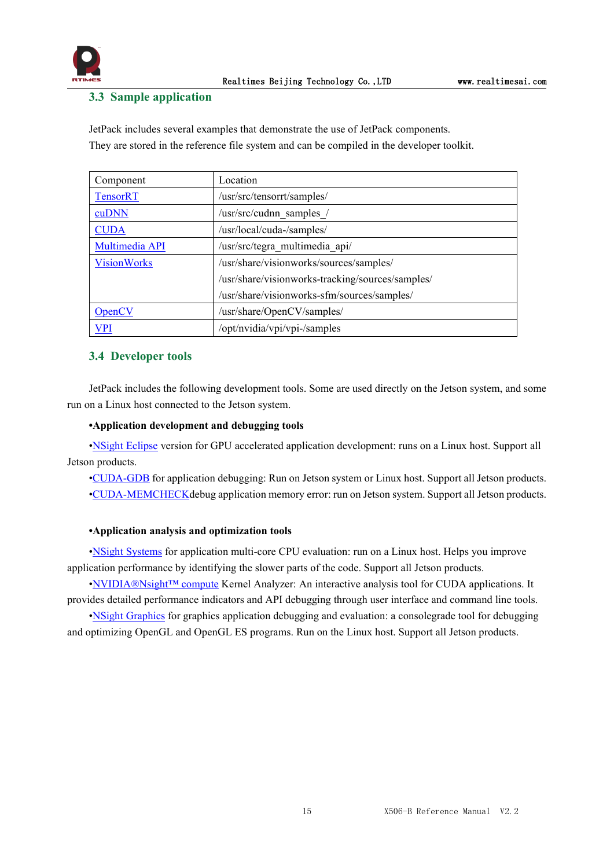

#### <span id="page-15-0"></span>**3.3 Sample application**

JetPack includes several examples that demonstrate the use of JetPack components. They are stored in the reference file system and can be compiled in the developer toolkit.

| Component          | Location                                         |
|--------------------|--------------------------------------------------|
| <b>TensorRT</b>    | /usr/src/tensorrt/samples/                       |
| cuDNN              | /usr/src/cudnn samples /                         |
| <b>CUDA</b>        | /usr/local/cuda-/samples/                        |
| Multimedia API     | /usr/src/tegra multimedia api/                   |
| <b>VisionWorks</b> | /usr/share/visionworks/sources/samples/          |
|                    | /usr/share/visionworks-tracking/sources/samples/ |
|                    | /usr/share/visionworks-sfm/sources/samples/      |
| <b>OpenCV</b>      | /usr/share/OpenCV/samples/                       |
| <b>VPI</b>         | /opt/nvidia/vpi/vpi-/samples                     |

## <span id="page-15-1"></span>**3.4 Developer tools**

JetPack includes the following development tools. Some are used directly on the Jetson system, and some run on a Linux host connected to the Jetson system.

#### **•Application development and debugging tools**

•NSight [Eclipse](https://developer.nvidia.com/nsight-eclipse-edition) version for GPU accelerated application development: runs on a Linux host. Support all Jetson products.

•[CUDA-GDB](https://developer.nvidia.com/cuda-gdb) for application debugging: Run on Jetson system or Linux host. Support all Jetson products. •[CUDA-MEMCHECKd](https://developer.nvidia.com/CUDA-MEMCHECK)ebug application memory error: run on Jetson system. Support all Jetson products.

#### **•Application analysis and optimization tools**

•NSight [Systems](https://developer.nvidia.com/nsight-systems) for application multi-core CPU evaluation: run on a Linux host. Helps you improve application performance by identifying the slower parts of the code. Support all Jetson products.

•[NVIDIA®Nsight™](https://developer.nvidia.com/nsight-compute) compute Kernel Analyzer: An interactive analysis tool for CUDA applications. It provides detailed performance indicators and API debugging through user interface and command line tools.

•NSight [Graphics](https://developer.nvidia.com/nsight-graphics) for graphics application debugging and evaluation: a consolegrade tool for debugging and optimizing OpenGL and OpenGL ES programs. Run on the Linux host. Support all Jetson products.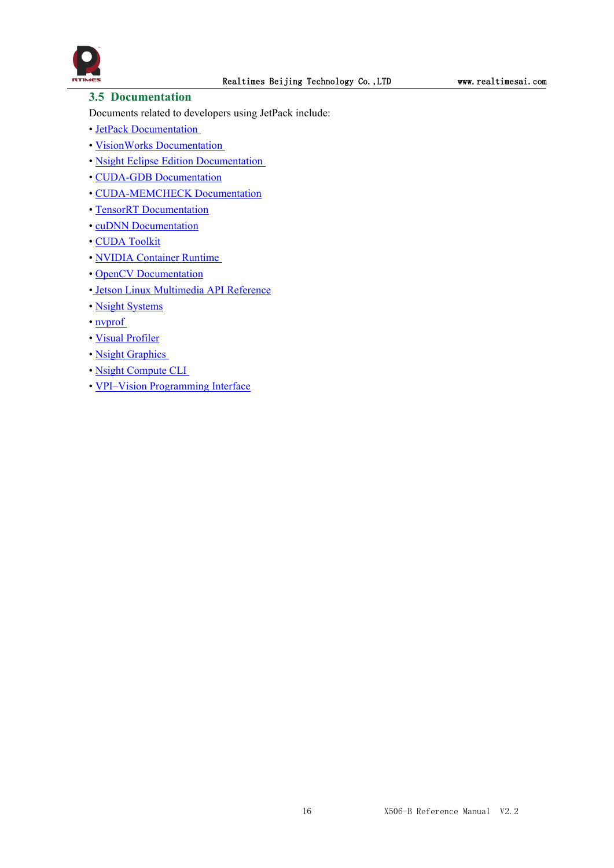

## <span id="page-16-0"></span>**3.5 Documentation**

Documents related to developers using JetPack include:

- JetPack [Documentation](https://docs.nvidia.com/jetson/jetpack/index.html)
- VisionWorks [Documentation](https://developer.nvidia.com/embedded/visionworks)
- Nsight Eclipse Edition [Documentation](https://docs.nvidia.com/cuda/nsight-eclipse-edition-getting-started-guide/index.html)
- CUDA-GDB [Documentation](http://docs.nvidia.com/cuda/cuda-gdb/index.html)
- [CUDA-MEMCHECK](http://docs.nvidia.com/cuda/cuda-memcheck/index.html) Documentation
- TensorRT [Documentation](https://docs.nvidia.com/deeplearning/sdk/tensorrt-developer-guide/index.html)
- cuDNN [Documentation](https://docs.nvidia.com/deeplearning/sdk/cudnn-developer-guide/index.html)
- CUDA [Toolkit](https://docs.nvidia.com/cuda/index.html)
- NVIDIA [Container](https://www.google.com/url?q=https://github.com/NVIDIA/nvidia-docker/wiki%23platform-support&sa=D&ust=1562106101392000&usg=AFQjCNG6YZBlyXRWjcpGIYF8fkBkYt9RsA) Runtime
- OpenCV [Documentation](https://developer.nvidia.com/opencv)
- Jetson Linux [Multimedia](https://docs.nvidia.com/jetson/l4t-multimedia/index.html) API Reference
- Nsight [Systems](https://docs.nvidia.com/nsight-systems/index.html)
- [nvprof](https://docs.nvidia.com/cuda/profiler-users-guide/index.html)
- Visual [Profiler](http://docs.nvidia.com/cuda/profiler-users-guide/index.html)
- Nsight [Graphics](https://docs.nvidia.com/nsight-graphics/index.html)
- Nsight [Compute](https://docs.nvidia.com/nsight-compute/NsightComputeCli/index.html) CLI
- VPI–Vision [Programming](https://docs.nvidia.com/vpi/index.html) Interface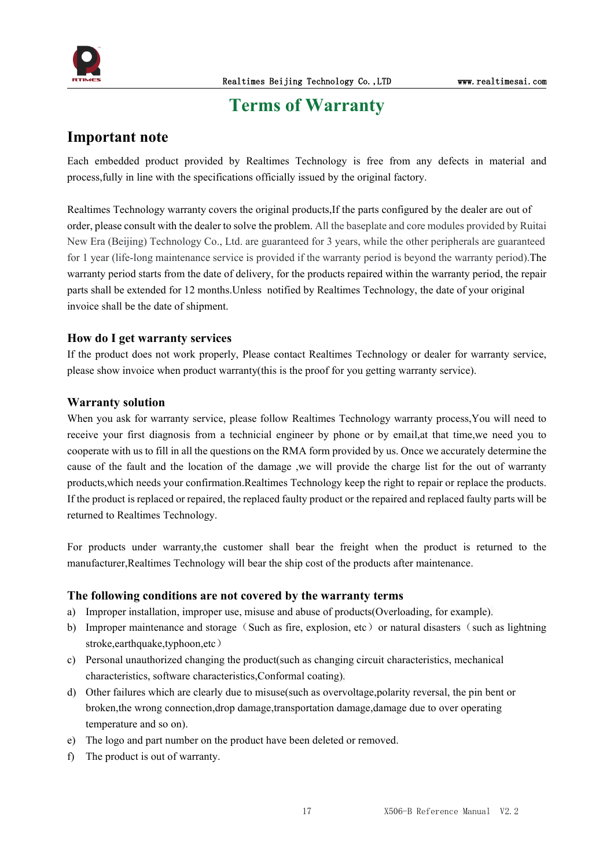

## <span id="page-17-0"></span>**Terms** of Warranty

## **Important note**

Each embedded product provided by Realtimes Technology is free from any defects in material and process,fully in line with the specifications officially issued by the original factory.

Realtimes Technology warranty covers the original products,If the parts configured by the dealer are out of order, please consultwith the dealer to solve the problem. All the baseplate and core modules provided by Ruitai New Era (Beijing) Technology Co., Ltd. are guaranteed for 3 years, while the other peripherals are guaranteed for 1 year (life-long maintenance service is provided if the warranty period is beyond the warranty period).The warranty period starts from the date of delivery, for the products repaired within the warranty period, the repair parts shall be extended for 12 months. Unless notified by Realtimes Technology, the date of your original invoice shall be the date of shipment.

#### **How do I get warranty services**

If the product does not work properly, Please contact Realtimes Technology or dealer for warranty service, please show invoice when product warranty(this is the proof for you getting warranty service).

#### **Warranty solution**

When you ask for warranty service, please follow Realtimes Technology warranty process,You will need to receive your first diagnosis from a technicial engineer by phone or by email,at that time,we need you to cooperate with us to fill in all the questions on the RMA form provided by us. Once we accurately determine the cause of the fault and the location of the damage ,we will provide the charge list for the out of warranty products,which needs your confirmation.Realtimes Technology keep the right to repair or replace the products. If the product is replaced or repaired, the replaced faulty product or the repaired and replaced faulty parts will be returned to Realtimes Technology.

For products under warranty, the customer shall bear the freight when the product is returned to the manufacturer,Realtimes Technology will bear the ship cost of the products after maintenance.

#### **The following conditions are not covered by the warranty terms**

- a) Improper installation, improper use, misuse and abuse of products(Overloading, for example).
- b) Improper maintenance and storage (Such as fire, explosion, etc) or natural disasters (such as lightning stroke,earthquake,typhoon,etc)
- c) Personal unauthorized changing the product(such as changing circuit characteristics, mechanical characteristics, software characteristics,Conformal coating).
- d) Other failures which are clearly due to misuse(such as overvoltage,polarity reversal, the pin bent or broken,the wrong connection,drop damage,transportation damage,damage due to over operating temperature and so on).
- e) The logo and part number on the product have been deleted or removed.
- f) The product is out of warranty.